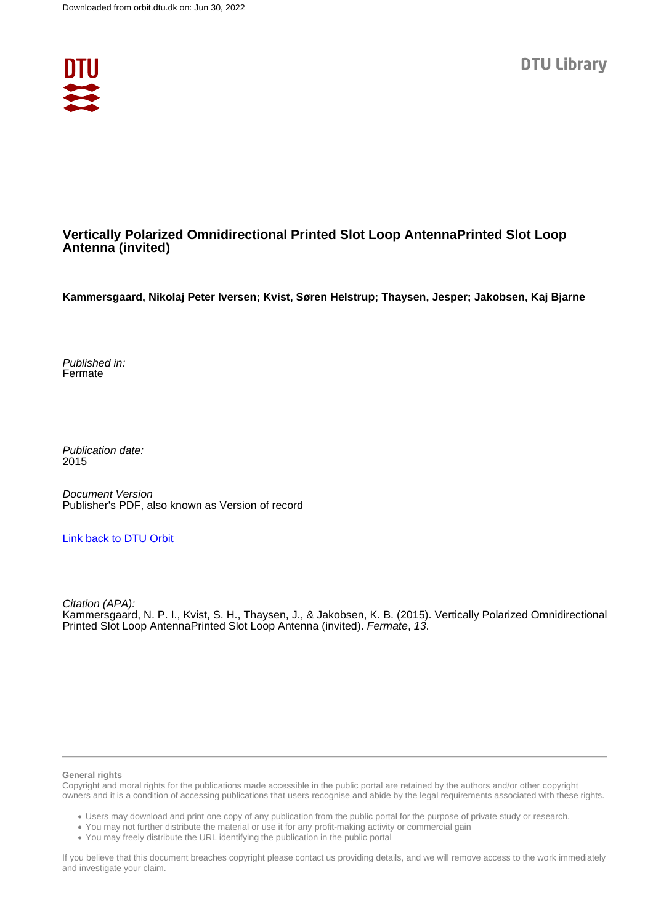

### **Vertically Polarized Omnidirectional Printed Slot Loop AntennaPrinted Slot Loop Antenna (invited)**

**Kammersgaard, Nikolaj Peter Iversen; Kvist, Søren Helstrup; Thaysen, Jesper; Jakobsen, Kaj Bjarne**

Published in: Fermate

Publication date: 2015

Document Version Publisher's PDF, also known as Version of record

#### [Link back to DTU Orbit](https://orbit.dtu.dk/en/publications/6c48598a-007c-4eb8-90e1-f1ea9545a060)

Citation (APA): Kammersgaard, N. P. I., Kvist, S. H., Thaysen, J., & Jakobsen, K. B. (2015). Vertically Polarized Omnidirectional Printed Slot Loop AntennaPrinted Slot Loop Antenna (invited). Fermate, 13.

#### **General rights**

Copyright and moral rights for the publications made accessible in the public portal are retained by the authors and/or other copyright owners and it is a condition of accessing publications that users recognise and abide by the legal requirements associated with these rights.

Users may download and print one copy of any publication from the public portal for the purpose of private study or research.

- You may not further distribute the material or use it for any profit-making activity or commercial gain
- You may freely distribute the URL identifying the publication in the public portal

If you believe that this document breaches copyright please contact us providing details, and we will remove access to the work immediately and investigate your claim.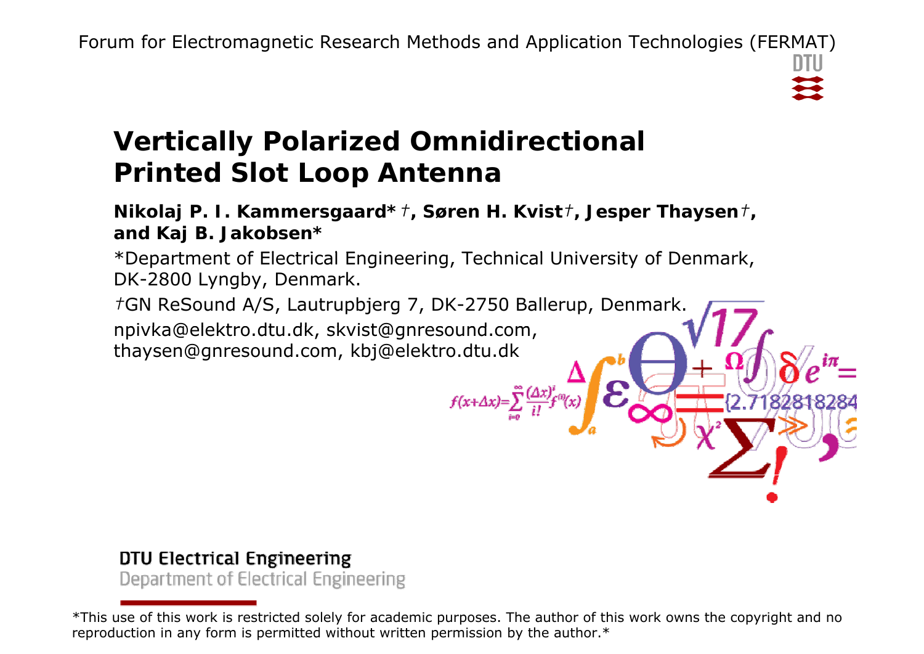# **Vertically Polarized Omnidirectional Printed Slot Loop Antenna**

**Nikolaj P. I. Kammersgaard\*** *†***, Søren H. Kvist** *†***, Jesper Thaysen** *†***, and Kaj B. Jakobsen\***

\*Department of Electrical Engineering, Technical University of Denmark, DK-2800 Lyngby, Denmark.

*†*GN ReSound A/S, Lautrupbjerg 7, DK-2750 Ballerup, Denmark. npivka@elektro.dtu.dk, skvist@gnresound.com, thaysen@gnresound.com, kbj@elektro.dtu.dk

 $f(x+\Delta x)=\sum_{i=1}^{\infty}\frac{(\Delta x)^i}{i!}$ 

### DTU Electrical Engineering Department of Electrical Engineering

**DTU Electrical Engineering, Technical University of Denmark**

<sup>\*</sup>This use of this work is restricted solely for academic purposes. The author of this work owns the copyright and no reproduction in any form is permitted without written permission by the author. $^\ast$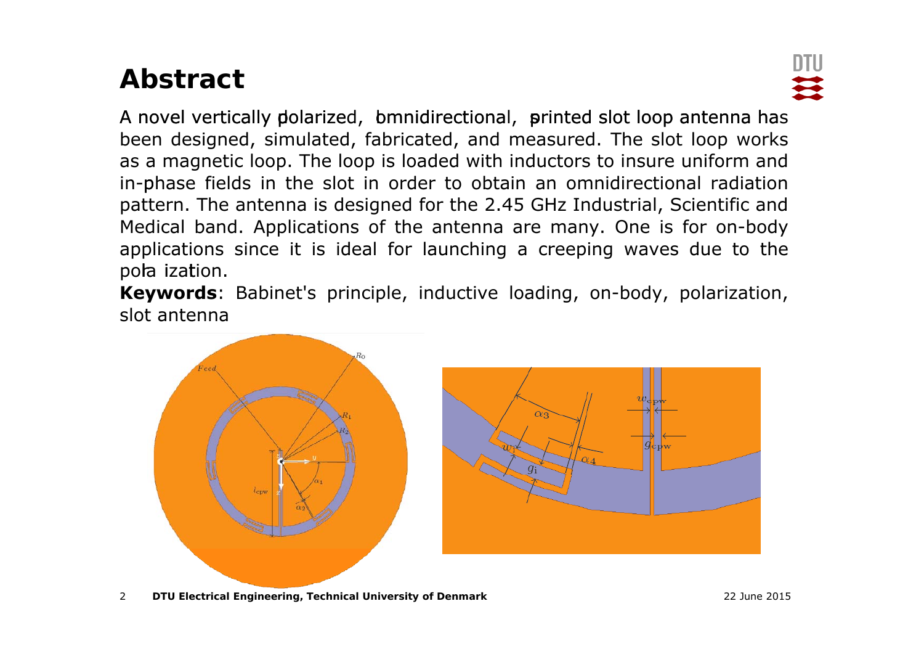# **Abstract**



A novel vertically polarized, bmnidirectional, printed slot loop antenna has been designed, simulated, fabricated, and measured. The slot loop works as a magnetic loop. The loop is loaded with inductors to insure uniform and in-phase fields in the slot in order to obtain an omnidirectional radiation pattern. The antenna is designed for the 2.45 GHz Industrial, Scientific and Medical band. Applications of the antenna are many. One is for on-body applications since it is ideal for launching <sup>a</sup> creeping waves due to the pola iza<mark>t</mark>ion.

**Keywords**: Babinet's principle, inductive loading, on-body, polarization, slot antenna



2**DTU Electrical Engineering, Technical University of Denmark** 22 June 2015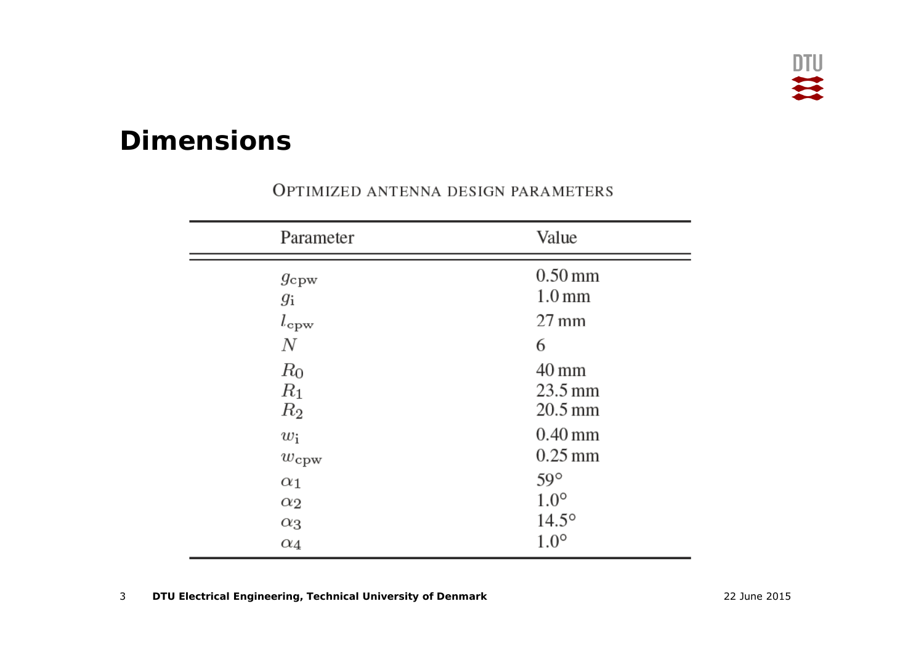### **Dimensions**

| Parameter        | Value                |
|------------------|----------------------|
| $g_{\rm cpw}$    | $0.50$ mm            |
| $g_{\rm i}$      | 1.0 <sub>mm</sub>    |
| $l_{\rm cpw}$    | $27 \text{ mm}$      |
| N                | 6                    |
| $R_0$            | $40 \,\mathrm{mm}$   |
| $R_1$            | $23.5 \,\mathrm{mm}$ |
| $R_2$            | $20.5 \,\mathrm{mm}$ |
| $w_i$            | $0.40$ mm            |
| $w_{\text{cpw}}$ | $0.25$ mm            |
| $\alpha_1$       | $59^\circ$           |
| $\alpha_2$       | $1.0^\circ$          |
| $\alpha_3$       | $14.5^{\circ}$       |
| $\alpha_4$       | $1.0^\circ$          |

### OPTIMIZED ANTENNA DESIGN PARAMETERS

3**DTU Electrical Engineering, Technical University of Denmark** 22 June 2015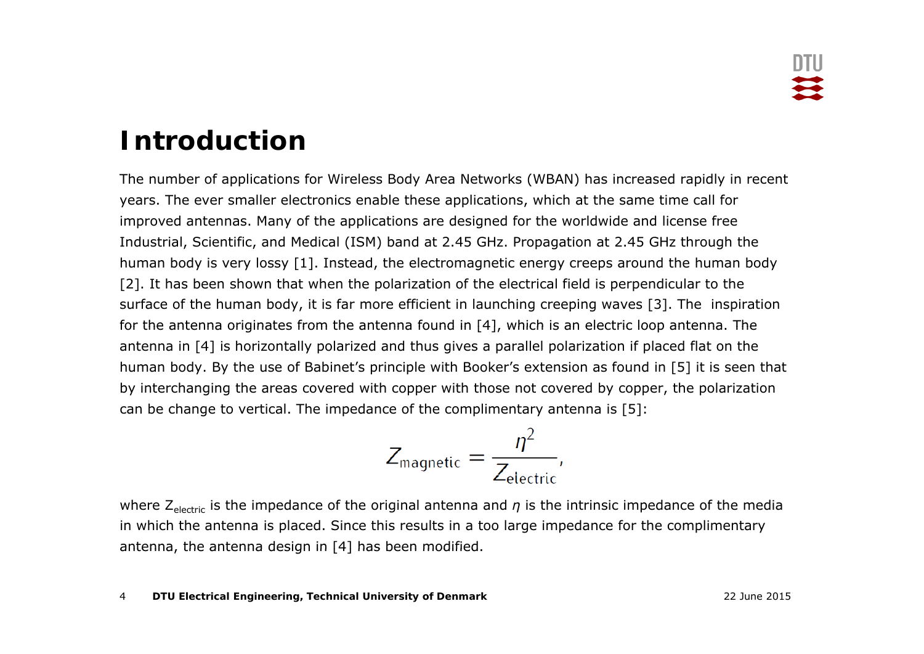### **Introduction**

The number of applications for Wireless Body Area Networks (WBAN) has increased rapidly in recent years. The ever smaller electronics enable these applications, which at the same time call for improved antennas. Many of the applications are designed for the worldwide and license free Industrial, Scientific, and Medical (ISM) band at 2.45 GHz. Propagation at 2.45 GHz through the human body is very lossy [1]. Instead, the electromagnetic energy creeps around the human body [2]. It has been shown that when the polarization of the electrical field is perpendicular to the surface of the human body, it is far more efficient in launching creeping waves [3]. The inspiration for the antenna originates from the antenna found in  $[4]$ , which is an electric loop antenna. The antenna in [4] is horizontally polarized and thus gives a parallel polarization if placed flat on the human body. By the use of Babinet's principle with Booker's extension as found in [5] it is seen that by interchanging the areas covered with copper with those not covered by copper, the polarization can be change to vertical. The impedance of the complimentary antenna is [5]:

$$
Z_{\text{magnetic}} = \frac{\eta^2}{Z_{\text{electric}}},
$$

where Z<sub>electric</sub> is the impedance of the original antenna and *η* is the intrinsic impedance of the media in which the antenna is placed. Since this results in a too large impedance for the complimentary antenna, the antenna design in [4] has been modified.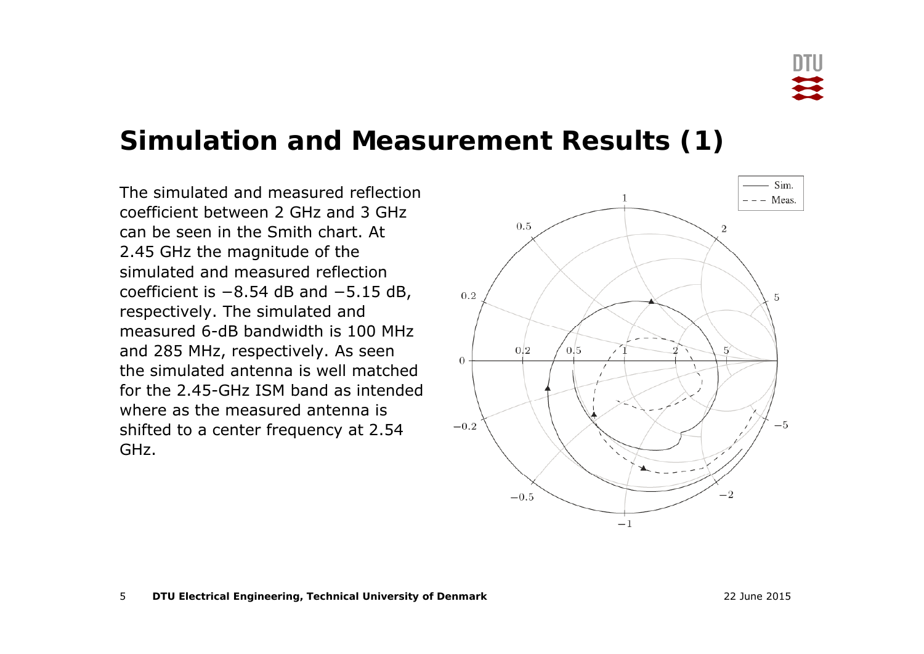### **Simulation and Measurement Results (1)**

The simulated and measured reflection coefficient between 2 GHz and 3 GHz can be seen in the Smith chart. At 2.45 GHz the magnitude of the simulated and measured reflection coefficient is -8.54 dB and -5.15 dB, respectively. The simulated and measured 6-dB bandwidth is 100 MHz and 285 MHz, respectively. As seen the simulated antenna is well matched for the 2.45-GHz ISM band as intended where as the measured antenna is shifted to a center frequency at 2.54 GHz.

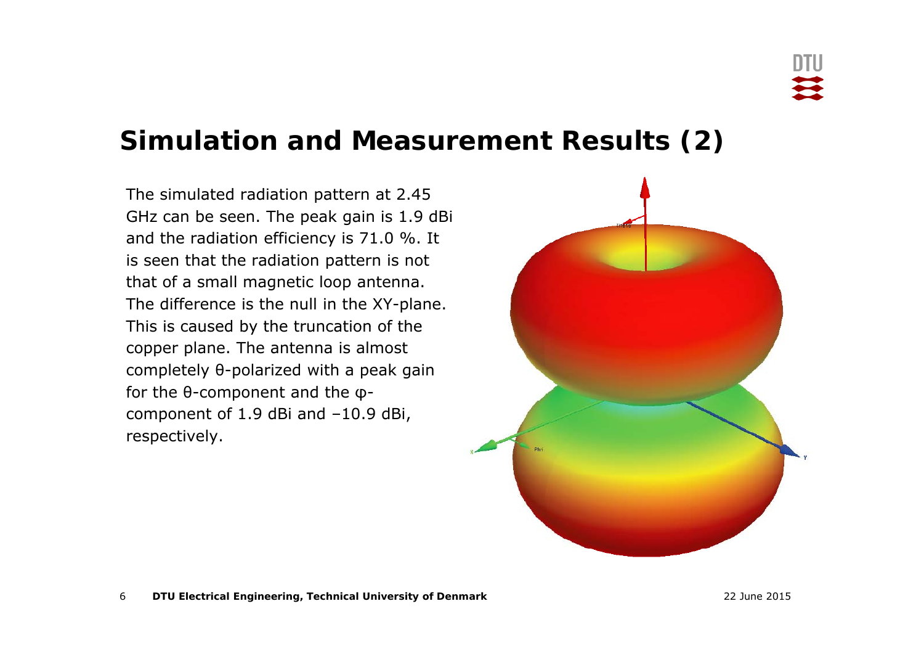### **Simulation and Measurement Results (2)**

The simulated radiation pattern at 2.45 GHz can be seen. The peak gain is 1.9 dBi and the radiation efficiency is 71.0 %. It is seen that the radiation pattern is not that of a small magnetic loop antenna. The difference is the null in the XY-plane. This is caused by the truncation of the copper plane. The antenna is almost completely θ-polarized with a peak gain for the θ-component and the φcomponent of 1.9 dBi and –10.9 dBi, respectively.

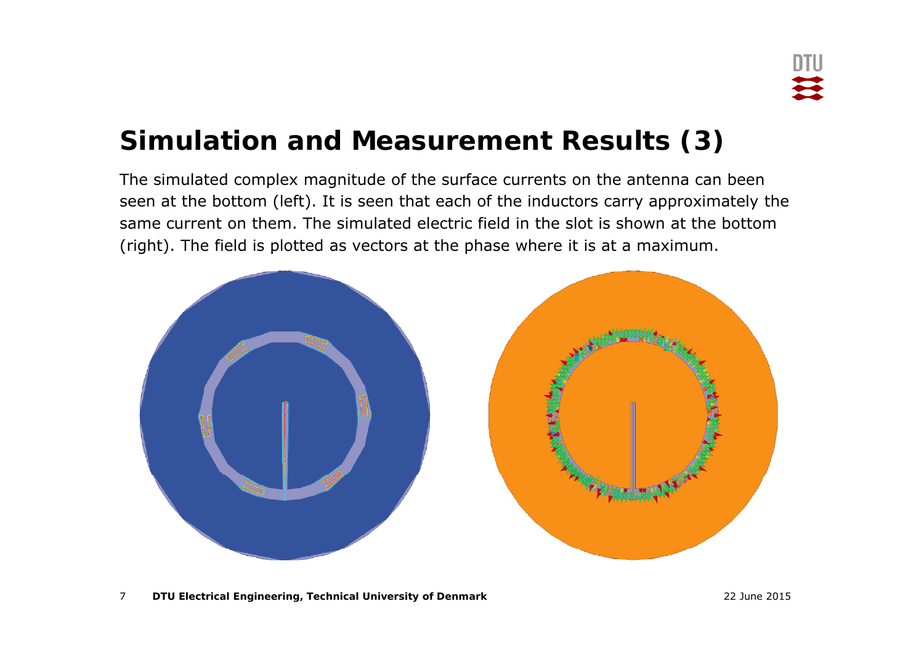### **Simulation and Measurement Results (3)**

The simulated complex magnitude of the surface currents on the antenna can been seen at the bottom (left). It is seen that each of the inductors carry approximately the same current on them. The simulated electric field in the slot is shown at the bottom (right). The field is plotted as vectors at the phase where it is at a maximum.

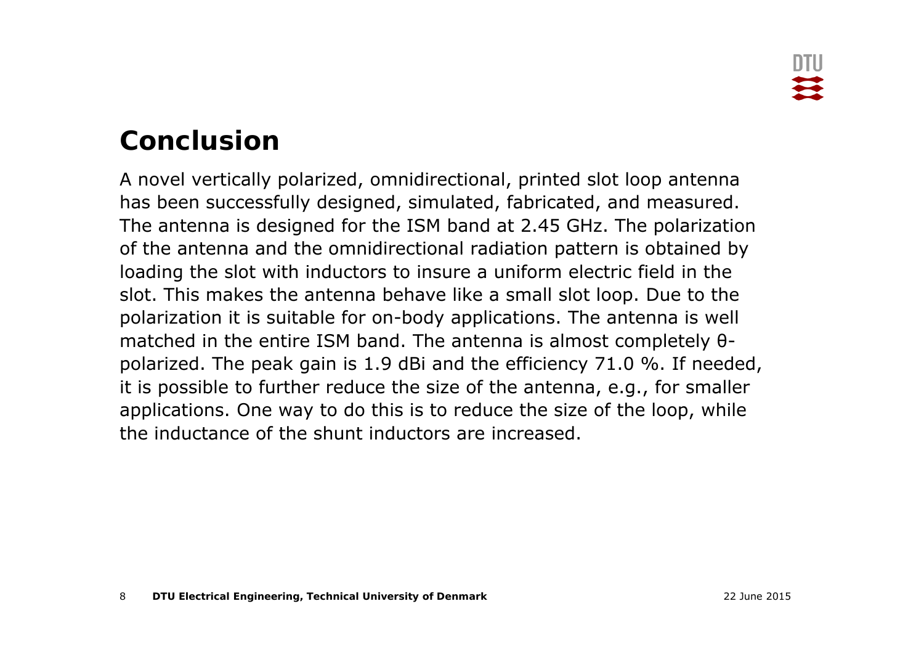# **Conclusion**

A novel vertically polarized, omnidirectional, printed slot loop antennal has been successfully designed, simulated, fabricated, and measured. The antenna is designed for the ISM band at 2.45 GHz. The polarization of the antenna and the omnidirectional radiation pattern is obtained by loading the slot with inductors to insure a uniform electric field in the slot. This makes the antenna behave like a small slot loop. Due to the polarization it is suitable for on-body applications. The antenna is well matched in the entire ISM band. The antenna is almost completely θpolarized. The peak gain is 1.9 dBi and the efficiency 71.0 %. If needed, it is possible to further reduce the size of the antenna, e.g., for smaller applications. One way to do this is to reduce the size of the loop, while the inductance of the shunt inductors are increased.